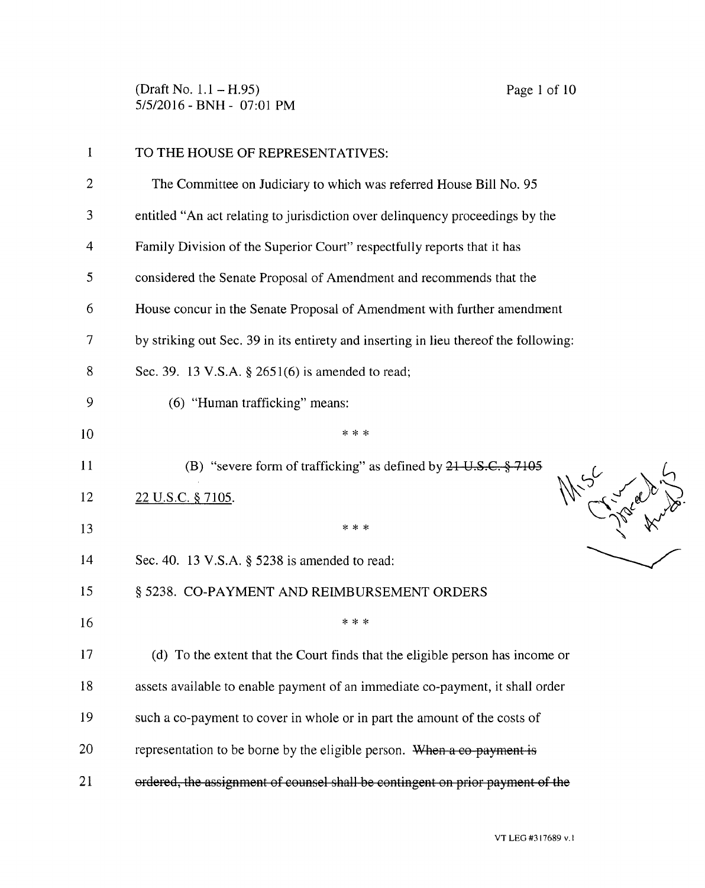(Draft No. 1.1 – H.95) Page 1 of 10 5/5/2016 - BNH - 07:01 PM

| $\mathbf{1}$ | TO THE HOUSE OF REPRESENTATIVES:                                                     |  |  |
|--------------|--------------------------------------------------------------------------------------|--|--|
| 2            | The Committee on Judiciary to which was referred House Bill No. 95                   |  |  |
| 3            | entitled "An act relating to jurisdiction over delinquency proceedings by the        |  |  |
| 4            | Family Division of the Superior Court" respectfully reports that it has              |  |  |
| 5            | considered the Senate Proposal of Amendment and recommends that the                  |  |  |
| 6            | House concur in the Senate Proposal of Amendment with further amendment              |  |  |
| 7            | by striking out Sec. 39 in its entirety and inserting in lieu thereof the following: |  |  |
| 8            | Sec. 39. 13 V.S.A. § 2651(6) is amended to read;                                     |  |  |
| 9            | (6) "Human trafficking" means:                                                       |  |  |
| 10           | * * *                                                                                |  |  |
| 11           | (B) "severe form of trafficking" as defined by $21-U.S.C.$ $\S$ 7105                 |  |  |
| 12           | M.S. Charles King<br>22 U.S.C. § 7105.                                               |  |  |
| 13           | * * *                                                                                |  |  |
| 14           | Sec. 40. 13 V.S.A. § 5238 is amended to read:                                        |  |  |
| 15           | § 5238. CO-PAYMENT AND REIMBURSEMENT ORDERS                                          |  |  |
| 16           | * * *                                                                                |  |  |
| 17           | (d) To the extent that the Court finds that the eligible person has income or        |  |  |
| 18           | assets available to enable payment of an immediate co-payment, it shall order        |  |  |
| 19           | such a co-payment to cover in whole or in part the amount of the costs of            |  |  |
| 20           | representation to be borne by the eligible person. When a co-payment is              |  |  |
| 21           | ordered, the assignment of counsel shall be contingent on prior payment of the       |  |  |
|              |                                                                                      |  |  |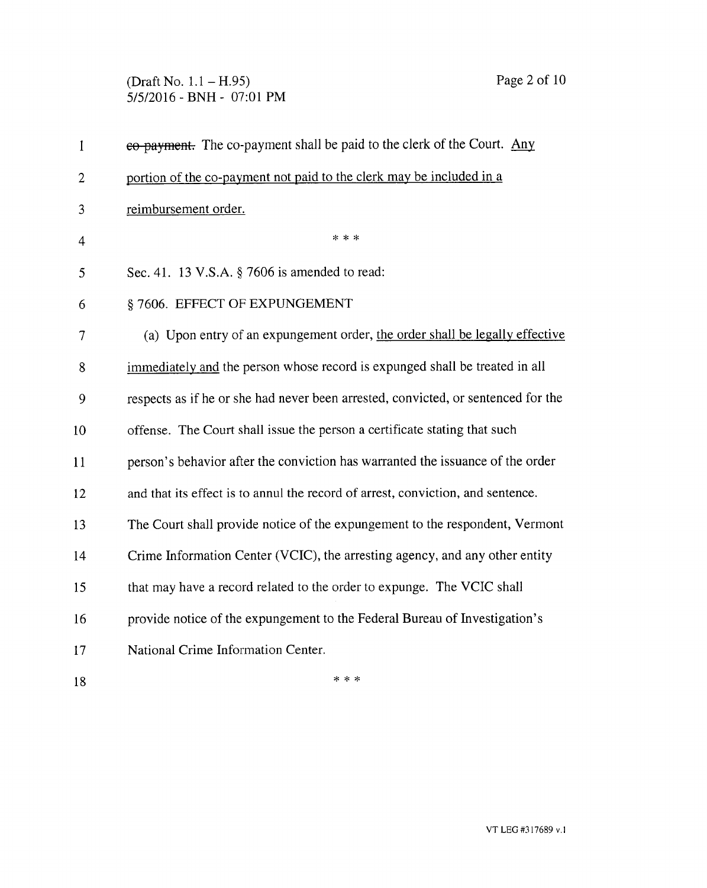## (Draft No. 1.1 — H.95) Page 2 of 10 5/5/2016 - BNH - 07:01 PM

| $\mathbf{1}$ | eo-payment. The co-payment shall be paid to the clerk of the Court. Any           |  |
|--------------|-----------------------------------------------------------------------------------|--|
| 2            | portion of the co-payment not paid to the clerk may be included in a              |  |
| 3            | reimbursement order.                                                              |  |
| 4            | $* * *$                                                                           |  |
| 5            | Sec. 41. 13 V.S.A. § 7606 is amended to read:                                     |  |
| 6            | §7606. EFFECT OF EXPUNGEMENT                                                      |  |
| $\tau$       | (a) Upon entry of an expungement order, the order shall be legally effective      |  |
| 8            | immediately and the person whose record is expunged shall be treated in all       |  |
| 9            | respects as if he or she had never been arrested, convicted, or sentenced for the |  |
| 10           | offense. The Court shall issue the person a certificate stating that such         |  |
| 11           | person's behavior after the conviction has warranted the issuance of the order    |  |
| 12           | and that its effect is to annul the record of arrest, conviction, and sentence.   |  |
| 13           | The Court shall provide notice of the expungement to the respondent, Vermont      |  |
| 14           | Crime Information Center (VCIC), the arresting agency, and any other entity       |  |
| 15           | that may have a record related to the order to expunge. The VCIC shall            |  |
| 16           | provide notice of the expungement to the Federal Bureau of Investigation's        |  |
| 17           | National Crime Information Center.                                                |  |
| 18           | * * *                                                                             |  |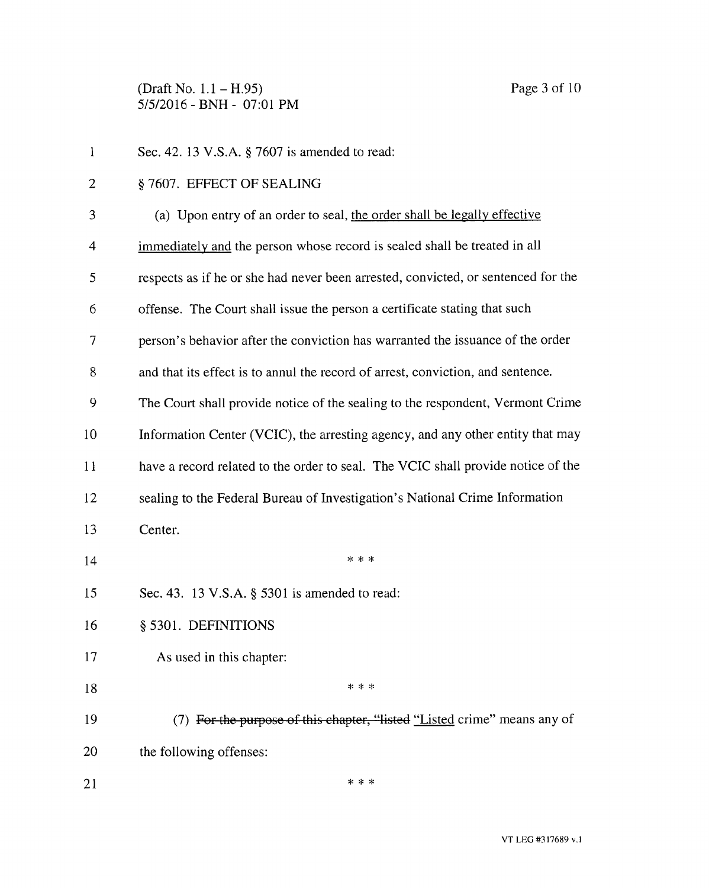(Draft No. 1.1 — H.95) Page 3 of 10 5/5/2016 - BNH - 07:01 PM

| $\mathbf{1}$   | Sec. 42. 13 V.S.A. § 7607 is amended to read:                                     |  |  |
|----------------|-----------------------------------------------------------------------------------|--|--|
| $\overline{2}$ | §7607. EFFECT OF SEALING                                                          |  |  |
| 3              | (a) Upon entry of an order to seal, the order shall be legally effective          |  |  |
| 4              | immediately and the person whose record is sealed shall be treated in all         |  |  |
| 5              | respects as if he or she had never been arrested, convicted, or sentenced for the |  |  |
| 6              | offense. The Court shall issue the person a certificate stating that such         |  |  |
| 7              | person's behavior after the conviction has warranted the issuance of the order    |  |  |
| 8              | and that its effect is to annul the record of arrest, conviction, and sentence.   |  |  |
| 9              | The Court shall provide notice of the sealing to the respondent, Vermont Crime    |  |  |
| 10             | Information Center (VCIC), the arresting agency, and any other entity that may    |  |  |
| 11             | have a record related to the order to seal. The VCIC shall provide notice of the  |  |  |
| 12             | sealing to the Federal Bureau of Investigation's National Crime Information       |  |  |
| 13             | Center.                                                                           |  |  |
| 14             | * * *                                                                             |  |  |
| 15             | Sec. 43. 13 V.S.A. § 5301 is amended to read:                                     |  |  |
| 16             | § 5301. DEFINITIONS                                                               |  |  |
| 17             | As used in this chapter:                                                          |  |  |
| 18             | * * *                                                                             |  |  |
| 19             | (7) For the purpose of this chapter, "listed "Listed crime" means any of          |  |  |
| 20             | the following offenses:                                                           |  |  |
| 21             | * * *                                                                             |  |  |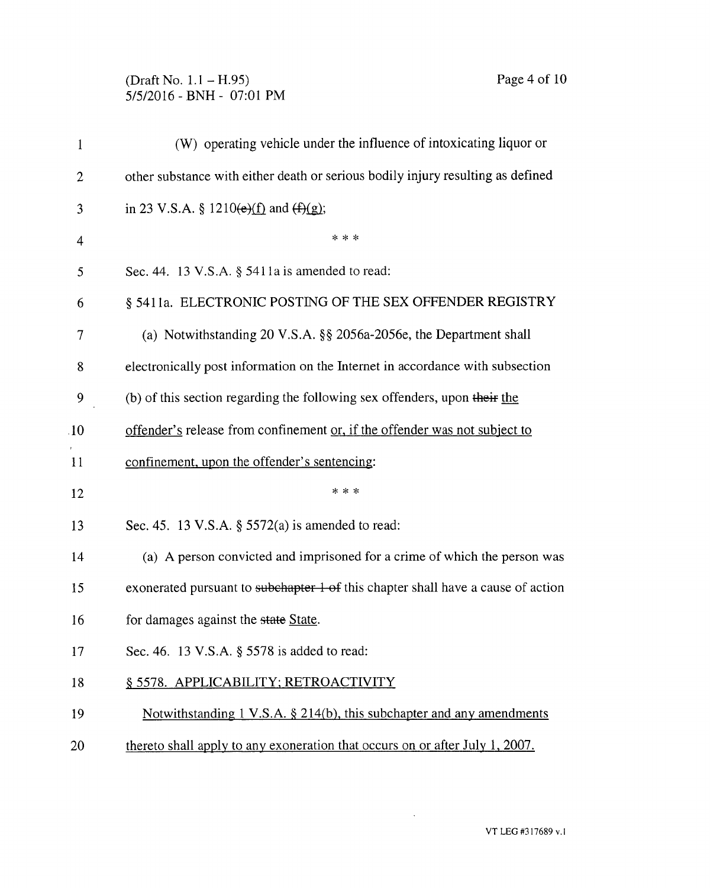## (Draft No. 1.1 — H.95) Page 4 of 10 5/5/2016 - BNH - 07:01 PM

| 1              | (W) operating vehicle under the influence of intoxicating liquor or              |  |  |
|----------------|----------------------------------------------------------------------------------|--|--|
| $\overline{2}$ | other substance with either death or serious bodily injury resulting as defined  |  |  |
| 3              | in 23 V.S.A. § 1210( $e$ )( $f$ ) and $(f)$ ( $g$ );                             |  |  |
| 4              | * * *                                                                            |  |  |
| 5              | Sec. 44. 13 V.S.A. $\S$ 5411a is amended to read:                                |  |  |
| 6              | § 5411a. ELECTRONIC POSTING OF THE SEX OFFENDER REGISTRY                         |  |  |
| 7              | (a) Notwithstanding 20 V.S.A. $\S$ 2056a-2056e, the Department shall             |  |  |
| 8              | electronically post information on the Internet in accordance with subsection    |  |  |
| 9              | (b) of this section regarding the following sex offenders, upon their the        |  |  |
| 10             | offender's release from confinement or, if the offender was not subject to       |  |  |
| 11             | confinement, upon the offender's sentencing:                                     |  |  |
| 12             | * * *                                                                            |  |  |
| 13             | Sec. 45. 13 V.S.A. $\S$ 5572(a) is amended to read:                              |  |  |
| 14             | (a) A person convicted and imprisoned for a crime of which the person was        |  |  |
| 15             | exonerated pursuant to subchapter 1 of this chapter shall have a cause of action |  |  |
| 16             | for damages against the state State.                                             |  |  |
| 17             | Sec. 46. 13 V.S.A. § 5578 is added to read:                                      |  |  |
| 18             | § 5578. APPLICABILITY; RETROACTIVITY                                             |  |  |
| 19             | Notwithstanding 1 V.S.A. § 214(b), this subchapter and any amendments            |  |  |
| 20             | thereto shall apply to any exoneration that occurs on or after July 1, 2007.     |  |  |

 $\sim 10$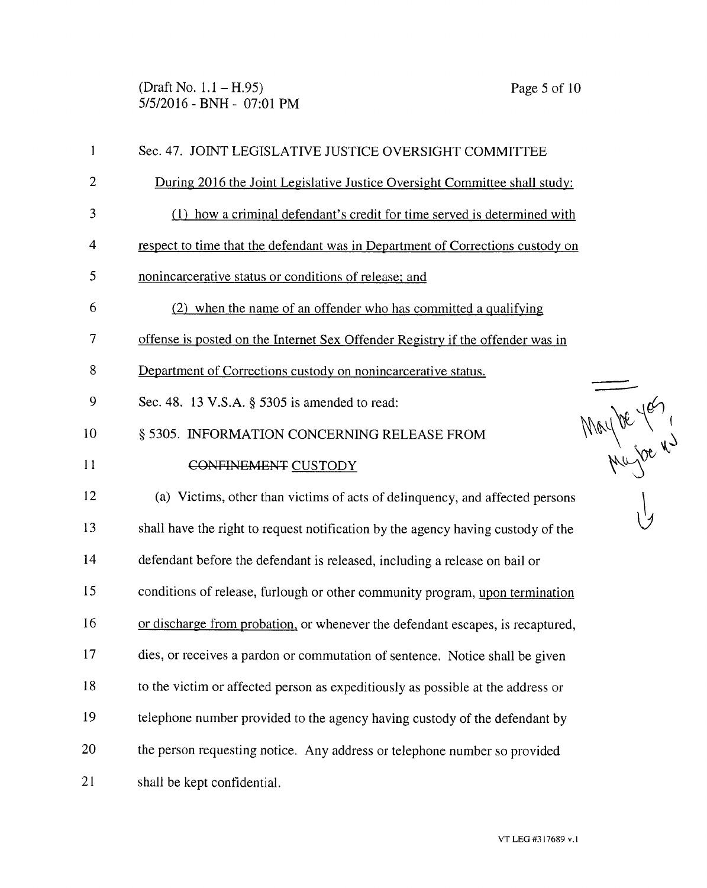(Draft No. 1.1 — H.95) Page 5 of 10 5/5/2016 - BNH - 07:01 PM

| 1              | Sec. 47. JOINT LEGISLATIVE JUSTICE OVERSIGHT COMMITTEE                           |  |  |
|----------------|----------------------------------------------------------------------------------|--|--|
| 2              | During 2016 the Joint Legislative Justice Oversight Committee shall study:       |  |  |
| 3              | (1) how a criminal defendant's credit for time served is determined with         |  |  |
| $\overline{4}$ | respect to time that the defendant was in Department of Corrections custody on   |  |  |
| 5              | nonincarcerative status or conditions of release; and                            |  |  |
| 6              | (2) when the name of an offender who has committed a qualifying                  |  |  |
| 7              | offense is posted on the Internet Sex Offender Registry if the offender was in   |  |  |
| 8              | Department of Corrections custody on nonincarcerative status.                    |  |  |
| 9              | Sec. 48. 13 V.S.A. § 5305 is amended to read:                                    |  |  |
| 10             | § 5305. INFORMATION CONCERNING RELEASE FROM                                      |  |  |
| 11             | Maybe yes<br>CONFINEMENT CUSTODY                                                 |  |  |
| 12             | (a) Victims, other than victims of acts of delinquency, and affected persons     |  |  |
| 13             | shall have the right to request notification by the agency having custody of the |  |  |
| 14             | defendant before the defendant is released, including a release on bail or       |  |  |
| 15             | conditions of release, furlough or other community program, upon termination     |  |  |
| 16             | or discharge from probation, or whenever the defendant escapes, is recaptured,   |  |  |
| 17             | dies, or receives a pardon or commutation of sentence. Notice shall be given     |  |  |
| 18             | to the victim or affected person as expeditiously as possible at the address or  |  |  |
| 19             | telephone number provided to the agency having custody of the defendant by       |  |  |
| 20             | the person requesting notice. Any address or telephone number so provided        |  |  |
| 21             | shall be kept confidential.                                                      |  |  |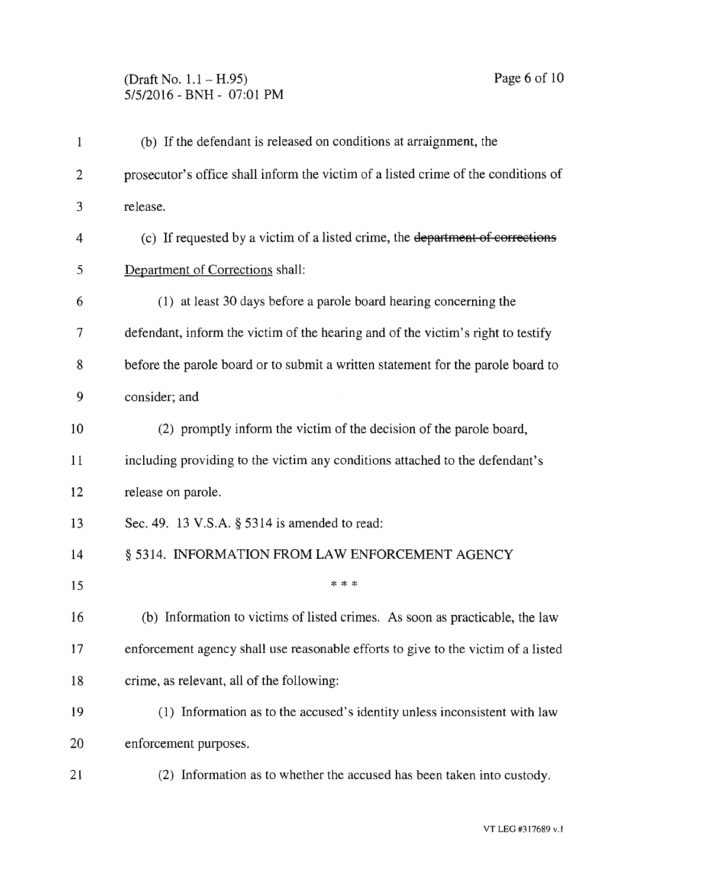| $\mathbf{1}$ | (b) If the defendant is released on conditions at arraignment, the                 |  |  |
|--------------|------------------------------------------------------------------------------------|--|--|
| 2            | prosecutor's office shall inform the victim of a listed crime of the conditions of |  |  |
| 3            | release.                                                                           |  |  |
| 4            | (c) If requested by a victim of a listed crime, the department of corrections      |  |  |
| 5            | Department of Corrections shall:                                                   |  |  |
| 6            | (1) at least 30 days before a parole board hearing concerning the                  |  |  |
| 7            | defendant, inform the victim of the hearing and of the victim's right to testify   |  |  |
| 8            | before the parole board or to submit a written statement for the parole board to   |  |  |
| 9            | consider; and                                                                      |  |  |
| 10           | (2) promptly inform the victim of the decision of the parole board,                |  |  |
| 11           | including providing to the victim any conditions attached to the defendant's       |  |  |
| 12           | release on parole.                                                                 |  |  |
| 13           | Sec. 49. 13 V.S.A. § 5314 is amended to read:                                      |  |  |
| 14           | § 5314. INFORMATION FROM LAW ENFORCEMENT AGENCY                                    |  |  |
| 15           | * * *                                                                              |  |  |
| 16           | (b) Information to victims of listed crimes. As soon as practicable, the law       |  |  |
| 17           | enforcement agency shall use reasonable efforts to give to the victim of a listed  |  |  |
| 18           | crime, as relevant, all of the following:                                          |  |  |
| 19           | (1) Information as to the accused's identity unless inconsistent with law          |  |  |
| 20           | enforcement purposes.                                                              |  |  |
| 21           | (2) Information as to whether the accused has been taken into custody.             |  |  |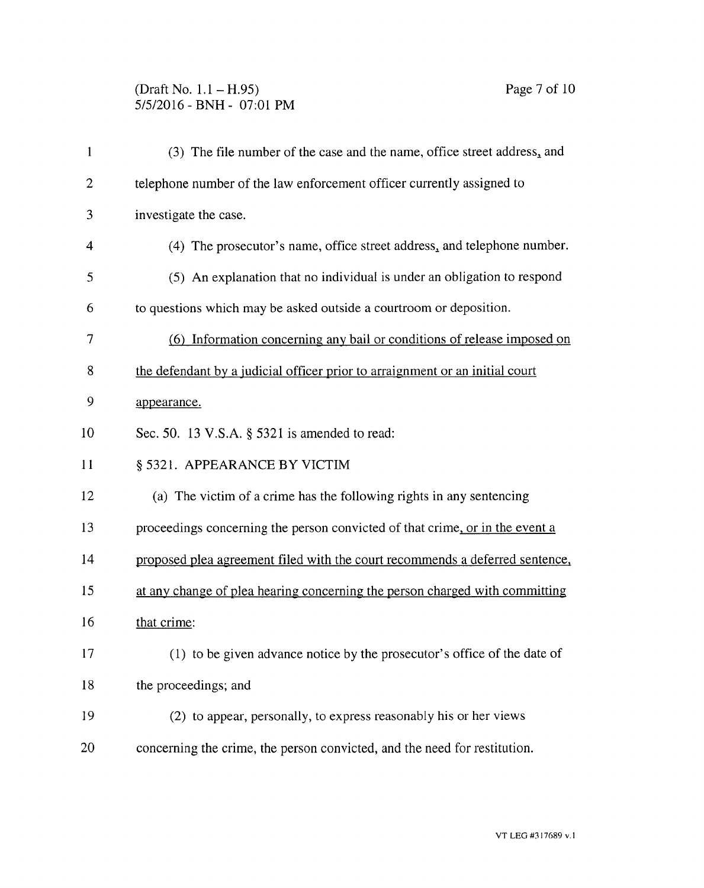## (Draft No. 1.1 — H.95) Page 7 of 10 5/5/2016 - BNH - 07:01 PM

| $\mathbf{1}$   | (3) The file number of the case and the name, office street address, and     |  |  |  |
|----------------|------------------------------------------------------------------------------|--|--|--|
| $\overline{2}$ | telephone number of the law enforcement officer currently assigned to        |  |  |  |
| 3              | investigate the case.                                                        |  |  |  |
| 4              | (4) The prosecutor's name, office street address, and telephone number.      |  |  |  |
| 5              | (5) An explanation that no individual is under an obligation to respond      |  |  |  |
| 6              | to questions which may be asked outside a courtroom or deposition.           |  |  |  |
| 7              | (6) Information concerning any bail or conditions of release imposed on      |  |  |  |
| 8              | the defendant by a judicial officer prior to arraignment or an initial court |  |  |  |
| 9              | appearance.                                                                  |  |  |  |
| 10             | Sec. 50. 13 V.S.A. § 5321 is amended to read:                                |  |  |  |
| 11             | § 5321. APPEARANCE BY VICTIM                                                 |  |  |  |
| 12             | (a) The victim of a crime has the following rights in any sentencing         |  |  |  |
| 13             | proceedings concerning the person convicted of that crime, or in the event a |  |  |  |
| 14             | proposed plea agreement filed with the court recommends a deferred sentence, |  |  |  |
| 15             | at any change of plea hearing concerning the person charged with committing  |  |  |  |
| 16             | that crime:                                                                  |  |  |  |
| 17             | (1) to be given advance notice by the prosecutor's office of the date of     |  |  |  |
| 18             | the proceedings; and                                                         |  |  |  |
| 19             | (2) to appear, personally, to express reasonably his or her views            |  |  |  |
| 20             | concerning the crime, the person convicted, and the need for restitution.    |  |  |  |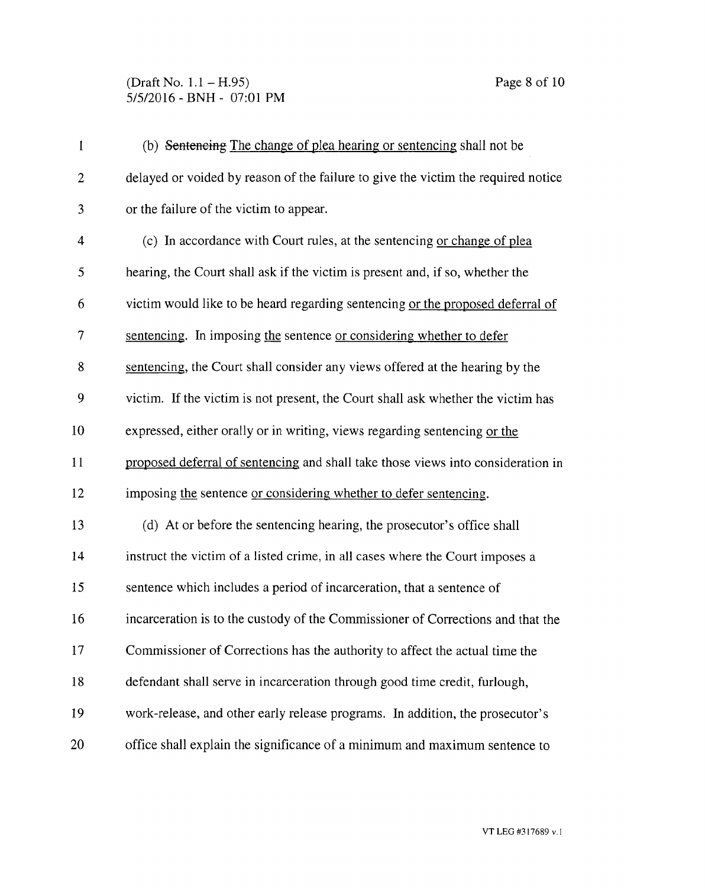## (Draft No. 1.1 – H.95) Page 8 of 10 5/5/2016 - BNH - 07:01 PM

| $\mathbf{1}$   | (b) Sentencing The change of plea hearing or sentencing shall not be              |  |  |  |
|----------------|-----------------------------------------------------------------------------------|--|--|--|
| $\overline{2}$ | delayed or voided by reason of the failure to give the victim the required notice |  |  |  |
| 3              | or the failure of the victim to appear.                                           |  |  |  |
| 4              | (c) In accordance with Court rules, at the sentencing or change of plea           |  |  |  |
| 5              | hearing, the Court shall ask if the victim is present and, if so, whether the     |  |  |  |
| 6              | victim would like to be heard regarding sentencing or the proposed deferral of    |  |  |  |
| 7              | sentencing. In imposing the sentence or considering whether to defer              |  |  |  |
| 8              | sentencing, the Court shall consider any views offered at the hearing by the      |  |  |  |
| 9              | victim. If the victim is not present, the Court shall ask whether the victim has  |  |  |  |
| 10             | expressed, either orally or in writing, views regarding sentencing or the         |  |  |  |
| 11             | proposed deferral of sentencing and shall take those views into consideration in  |  |  |  |
| 12             | imposing the sentence or considering whether to defer sentencing.                 |  |  |  |
| 13             | (d) At or before the sentencing hearing, the prosecutor's office shall            |  |  |  |
| 14             | instruct the victim of a listed crime, in all cases where the Court imposes a     |  |  |  |
| 15             | sentence which includes a period of incarceration, that a sentence of             |  |  |  |
| 16             | incarceration is to the custody of the Commissioner of Corrections and that the   |  |  |  |
| 17             | Commissioner of Corrections has the authority to affect the actual time the       |  |  |  |
| 18             | defendant shall serve in incarceration through good time credit, furlough,        |  |  |  |
| 19             | work-release, and other early release programs. In addition, the prosecutor's     |  |  |  |
| 20             | office shall explain the significance of a minimum and maximum sentence to        |  |  |  |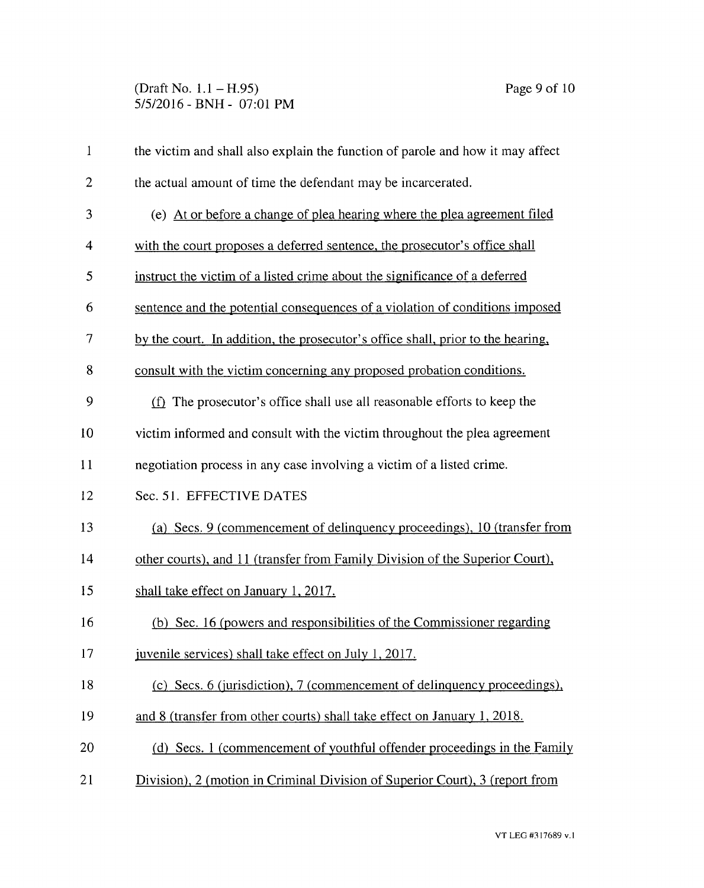| $\mathbf{1}$   | the victim and shall also explain the function of parole and how it may affect  |  |  |
|----------------|---------------------------------------------------------------------------------|--|--|
| $\overline{2}$ | the actual amount of time the defendant may be incarcerated.                    |  |  |
| 3              | (e) At or before a change of plea hearing where the plea agreement filed        |  |  |
| 4              | with the court proposes a deferred sentence, the prosecutor's office shall      |  |  |
| 5              | instruct the victim of a listed crime about the significance of a deferred      |  |  |
| 6              | sentence and the potential consequences of a violation of conditions imposed    |  |  |
| 7              | by the court. In addition, the prosecutor's office shall, prior to the hearing, |  |  |
| 8              | consult with the victim concerning any proposed probation conditions.           |  |  |
| 9              | (f) The prosecutor's office shall use all reasonable efforts to keep the        |  |  |
| 10             | victim informed and consult with the victim throughout the plea agreement       |  |  |
| 11             | negotiation process in any case involving a victim of a listed crime.           |  |  |
| 12             | Sec. 51. EFFECTIVE DATES                                                        |  |  |
| 13             | (a) Secs. 9 (commencement of delinquency proceedings), 10 (transfer from        |  |  |
| 14             | other courts), and 11 (transfer from Family Division of the Superior Court),    |  |  |
| 15             | shall take effect on January 1, 2017.                                           |  |  |
| 16             | (b) Sec. 16 (powers and responsibilities of the Commissioner regarding          |  |  |
| 17             | juvenile services) shall take effect on July 1, 2017.                           |  |  |
| 18             | (c) Secs. 6 (jurisdiction), 7 (commencement of delinquency proceedings),        |  |  |
| 19             | and 8 (transfer from other courts) shall take effect on January 1, 2018.        |  |  |
| 20             | (d) Secs. 1 (commencement of youthful offender proceedings in the Family        |  |  |
| 21             | Division), 2 (motion in Criminal Division of Superior Court), 3 (report from    |  |  |